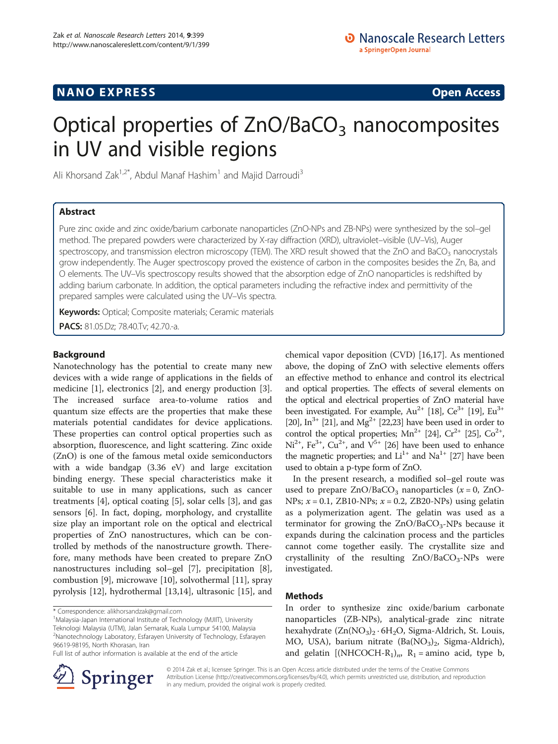## **NANO EXPRESS** Open Access and the set of the set of the set of the set of the set of the set of the set of the set of the set of the set of the set of the set of the set of the set of the set of the set of the set of the

# Optical properties of  $ZnO/BaCO<sub>3</sub>$  nanocomposites in UV and visible regions

Ali Khorsand Zak<sup>1,2\*</sup>, Abdul Manaf Hashim<sup>1</sup> and Majid Darroudi<sup>3</sup>

## Abstract

Pure zinc oxide and zinc oxide/barium carbonate nanoparticles (ZnO-NPs and ZB-NPs) were synthesized by the sol–gel method. The prepared powders were characterized by X-ray diffraction (XRD), ultraviolet–visible (UV–Vis), Auger spectroscopy, and transmission electron microscopy (TEM). The XRD result showed that the ZnO and BaCO<sub>3</sub> nanocrystals grow independently. The Auger spectroscopy proved the existence of carbon in the composites besides the Zn, Ba, and O elements. The UV–Vis spectroscopy results showed that the absorption edge of ZnO nanoparticles is redshifted by adding barium carbonate. In addition, the optical parameters including the refractive index and permittivity of the prepared samples were calculated using the UV–Vis spectra.

Keywords: Optical; Composite materials; Ceramic materials PACS: 81.05.Dz; 78.40.Tv; 42.70.-a.

## Background

Nanotechnology has the potential to create many new devices with a wide range of applications in the fields of medicine [[1\]](#page-4-0), electronics [\[2](#page-4-0)], and energy production [\[3](#page-4-0)]. The increased surface area-to-volume ratios and quantum size effects are the properties that make these materials potential candidates for device applications. These properties can control optical properties such as absorption, fluorescence, and light scattering. Zinc oxide (ZnO) is one of the famous metal oxide semiconductors with a wide bandgap (3.36 eV) and large excitation binding energy. These special characteristics make it suitable to use in many applications, such as cancer treatments [[4\]](#page-4-0), optical coating [\[5](#page-4-0)], solar cells [\[3](#page-4-0)], and gas sensors [[6\]](#page-4-0). In fact, doping, morphology, and crystallite size play an important role on the optical and electrical properties of ZnO nanostructures, which can be controlled by methods of the nanostructure growth. Therefore, many methods have been created to prepare ZnO nanostructures including sol–gel [\[7](#page-4-0)], precipitation [\[8](#page-4-0)], combustion [[9\]](#page-4-0), microwave [\[10\]](#page-4-0), solvothermal [\[11\]](#page-4-0), spray pyrolysis [[12\]](#page-4-0), hydrothermal [\[13,14](#page-4-0)], ultrasonic [[15\]](#page-4-0), and

Full list of author information is available at the end of the article



chemical vapor deposition (CVD) [\[16,17\]](#page-4-0). As mentioned above, the doping of ZnO with selective elements offers an effective method to enhance and control its electrical and optical properties. The effects of several elements on the optical and electrical properties of ZnO material have been investigated. For example,  $Au^{2+}$  [[18](#page-4-0)],  $Ce^{3+}$  [\[19\]](#page-5-0),  $Eu^{3+}$ [[20](#page-5-0)], In<sup>3+</sup> [\[21\]](#page-5-0), and Mg<sup>2+</sup> [\[22,23](#page-5-0)] have been used in order to control the optical properties;  $Mn^{2+}$  [[24](#page-5-0)],  $Cr^{2+}$  [\[25\]](#page-5-0),  $Co^{2+}$ ,  $Ni<sup>2+</sup>, Fe<sup>3+</sup>, Cu<sup>2+</sup>, and V<sup>5+</sup> [26] have been used to enhance$  $Ni<sup>2+</sup>, Fe<sup>3+</sup>, Cu<sup>2+</sup>, and V<sup>5+</sup> [26] have been used to enhance$  $Ni<sup>2+</sup>, Fe<sup>3+</sup>, Cu<sup>2+</sup>, and V<sup>5+</sup> [26] have been used to enhance$ the magnetic properties; and  $Li^{1+}$  and  $Na^{1+}$  [\[27\]](#page-5-0) have been used to obtain a p-type form of ZnO.

In the present research, a modified sol–gel route was used to prepare  $ZnO/BaCO_3$  nanoparticles ( $x = 0$ ,  $ZnO-$ NPs;  $x = 0.1$ , ZB10-NPs;  $x = 0.2$ , ZB20-NPs) using gelatin as a polymerization agent. The gelatin was used as a terminator for growing the  $ZnO/BaCO<sub>3</sub>-NPs$  because it expands during the calcination process and the particles cannot come together easily. The crystallite size and crystallinity of the resulting  $ZnO/BaCO<sub>3</sub>-NPs$  were investigated.

## Methods

In order to synthesize zinc oxide/barium carbonate nanoparticles (ZB-NPs), analytical-grade zinc nitrate hexahydrate  $(Zn(NO<sub>3</sub>)<sub>2</sub> · 6H<sub>2</sub>O, Sigma-Aldrich, St. Louis,$ MO, USA), barium nitrate  $(Ba(NO<sub>3</sub>)<sub>2</sub>$ , Sigma-Aldrich), and gelatin  $[(NHCOCH-R<sub>1</sub>)<sub>n</sub>, R<sub>1</sub> =$ amino acid, type b,

© 2014 Zak et al.; licensee Springer. This is an Open Access article distributed under the terms of the Creative Commons Attribution License [\(http://creativecommons.org/licenses/by/4.0\)](http://creativecommons.org/licenses/by/4.0), which permits unrestricted use, distribution, and reproduction in any medium, provided the original work is properly credited.

<sup>\*</sup> Correspondence: [alikhorsandzak@gmail.com](mailto:alikhorsandzak@gmail.com) <sup>1</sup>

<sup>&</sup>lt;sup>1</sup>Malaysia-Japan International Institute of Technology (MJIIT), University Teknologi Malaysia (UTM), Jalan Semarak, Kuala Lumpur 54100, Malaysia 2 Nanotechnology Laboratory, Esfarayen University of Technology, Esfarayen 96619-98195, North Khorasan, Iran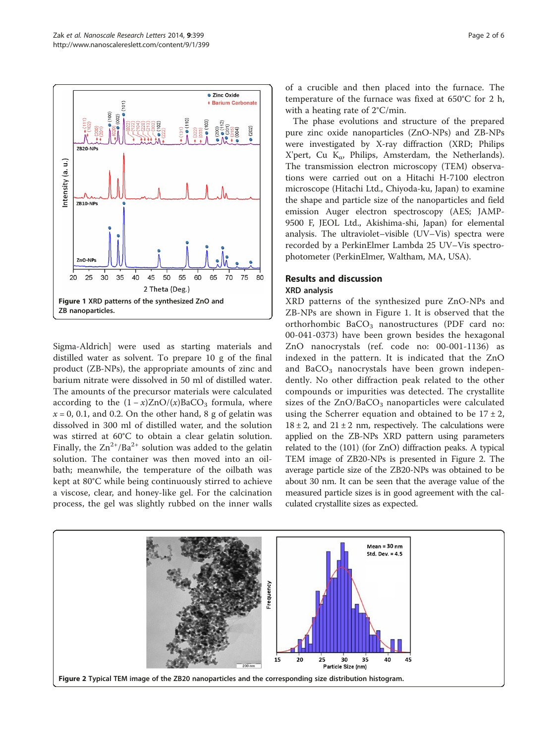

Sigma-Aldrich] were used as starting materials and distilled water as solvent. To prepare 10 g of the final product (ZB-NPs), the appropriate amounts of zinc and barium nitrate were dissolved in 50 ml of distilled water. The amounts of the precursor materials were calculated according to the  $(1 - x)ZnO/(x)BaCO<sub>3</sub>$  formula, where  $x = 0$ , 0.1, and 0.2. On the other hand, 8 g of gelatin was dissolved in 300 ml of distilled water, and the solution was stirred at 60°C to obtain a clear gelatin solution. Finally, the  $\text{Zn}^{2+}/\text{Ba}^{2+}$  solution was added to the gelatin solution. The container was then moved into an oilbath; meanwhile, the temperature of the oilbath was kept at 80°C while being continuously stirred to achieve a viscose, clear, and honey-like gel. For the calcination process, the gel was slightly rubbed on the inner walls

of a crucible and then placed into the furnace. The temperature of the furnace was fixed at 650°C for 2 h, with a heating rate of 2°C/min.

The phase evolutions and structure of the prepared pure zinc oxide nanoparticles (ZnO-NPs) and ZB-NPs were investigated by X-ray diffraction (XRD; Philips X'pert, Cu K<sub>α</sub>, Philips, Amsterdam, the Netherlands). The transmission electron microscopy (TEM) observations were carried out on a Hitachi H-7100 electron microscope (Hitachi Ltd., Chiyoda-ku, Japan) to examine the shape and particle size of the nanoparticles and field emission Auger electron spectroscopy (AES; JAMP-9500 F, JEOL Ltd., Akishima-shi, Japan) for elemental analysis. The ultraviolet–visible (UV–Vis) spectra were recorded by a PerkinElmer Lambda 25 UV–Vis spectrophotometer (PerkinElmer, Waltham, MA, USA).

## Results and discussion XRD analysis

XRD patterns of the synthesized pure ZnO-NPs and ZB-NPs are shown in Figure 1. It is observed that the orthorhombic  $BaCO<sub>3</sub>$  nanostructures (PDF card no: 00-041-0373) have been grown besides the hexagonal ZnO nanocrystals (ref. code no: 00-001-1136) as indexed in the pattern. It is indicated that the ZnO and BaCO<sub>3</sub> nanocrystals have been grown independently. No other diffraction peak related to the other compounds or impurities was detected. The crystallite sizes of the  $ZnO/BaCO<sub>3</sub>$  nanoparticles were calculated using the Scherrer equation and obtained to be  $17 \pm 2$ ,  $18 \pm 2$ , and  $21 \pm 2$  nm, respectively. The calculations were applied on the ZB-NPs XRD pattern using parameters related to the (101) (for ZnO) diffraction peaks. A typical TEM image of ZB20-NPs is presented in Figure 2. The average particle size of the ZB20-NPs was obtained to be about 30 nm. It can be seen that the average value of the measured particle sizes is in good agreement with the calculated crystallite sizes as expected.

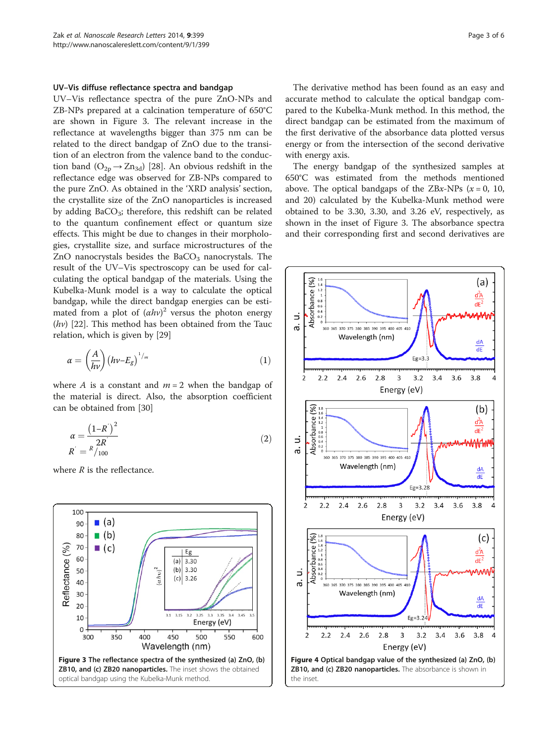#### <span id="page-2-0"></span>UV–Vis diffuse reflectance spectra and bandgap

UV–Vis reflectance spectra of the pure ZnO-NPs and ZB-NPs prepared at a calcination temperature of 650°C are shown in Figure 3. The relevant increase in the reflectance at wavelengths bigger than 375 nm can be related to the direct bandgap of ZnO due to the transition of an electron from the valence band to the conduction band  $(O_{2p} \rightarrow Zn_{3d})$  [[28](#page-5-0)]. An obvious redshift in the reflectance edge was observed for ZB-NPs compared to the pure ZnO. As obtained in the 'XRD analysis' section, the crystallite size of the ZnO nanoparticles is increased by adding  $BaCO<sub>3</sub>$ ; therefore, this redshift can be related to the quantum confinement effect or quantum size effects. This might be due to changes in their morphologies, crystallite size, and surface microstructures of the ZnO nanocrystals besides the  $BaCO<sub>3</sub>$  nanocrystals. The result of the UV–Vis spectroscopy can be used for calculating the optical bandgap of the materials. Using the Kubelka-Munk model is a way to calculate the optical bandgap, while the direct bandgap energies can be estimated from a plot of  $(ahv)^2$  versus the photon energy<br> $(hv)$  [22] This method has been obtained from the Taug  $(hv)$  [\[22\]](#page-5-0). This method has been obtained from the Tauc relation, which is given by [[29\]](#page-5-0)

$$
\alpha = \left(\frac{A}{h\nu}\right) \left(h\nu - E_g\right)^{1/m} \tag{1}
$$

where A is a constant and  $m = 2$  when the bandgap of the material is direct. Also, the absorption coefficient can be obtained from [[30](#page-5-0)]

$$
\alpha = \frac{(1 - R^{'})^2}{2R^{'}}
$$
  
\n
$$
R^{'} = {^R/}_{100}
$$
\n(2)

where  $R$  is the reflectance.



The derivative method has been found as an easy and accurate method to calculate the optical bandgap compared to the Kubelka-Munk method. In this method, the direct bandgap can be estimated from the maximum of the first derivative of the absorbance data plotted versus energy or from the intersection of the second derivative with energy axis.

The energy bandgap of the synthesized samples at 650°C was estimated from the methods mentioned above. The optical bandgaps of the ZBx-NPs  $(x = 0, 10,$ and 20) calculated by the Kubelka-Munk method were obtained to be 3.30, 3.30, and 3.26 eV, respectively, as shown in the inset of Figure 3. The absorbance spectra and their corresponding first and second derivatives are

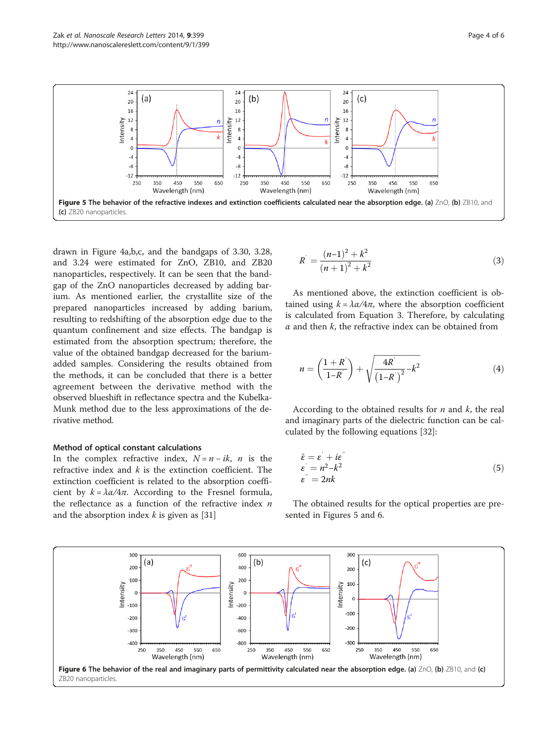

drawn in Figure [4](#page-2-0)a,b,c, and the bandgaps of 3.30, 3.28, and 3.24 were estimated for ZnO, ZB10, and ZB20 nanoparticles, respectively. It can be seen that the bandgap of the ZnO nanoparticles decreased by adding barium. As mentioned earlier, the crystallite size of the prepared nanoparticles increased by adding barium, resulting to redshifting of the absorption edge due to the quantum confinement and size effects. The bandgap is estimated from the absorption spectrum; therefore, the value of the obtained bandgap decreased for the bariumadded samples. Considering the results obtained from the methods, it can be concluded that there is a better agreement between the derivative method with the observed blueshift in reflectance spectra and the Kubelka-Munk method due to the less approximations of the derivative method.

## Method of optical constant calculations

In the complex refractive index,  $N = n - ik$ , n is the refractive index and  $k$  is the extinction coefficient. The extinction coefficient is related to the absorption coefficient by  $k = \lambda \alpha / 4\pi$ . According to the Fresnel formula, the reflectance as a function of the refractive index  $n$ and the absorption index  $k$  is given as [[31\]](#page-5-0)

$$
R^{'} = \frac{(n-1)^2 + k^2}{(n+1)^2 + k^2}
$$
\n(3)

As mentioned above, the extinction coefficient is obtained using  $k = \lambda \alpha/4\pi$ , where the absorption coefficient is calculated from Equation 3. Therefore, by calculating  $\alpha$  and then  $k$ , the refractive index can be obtained from

$$
n = \left(\frac{1+R^{'}}{1-R^{'}}\right) + \sqrt{\frac{4R^{'}}{(1-R^{'})^2} - k^2}
$$
 (4)

According to the obtained results for  $n$  and  $k$ , the real and imaginary parts of the dielectric function can be calculated by the following equations [[32](#page-5-0)]:

$$
\begin{aligned}\n\tilde{\varepsilon} &= \varepsilon' + i\varepsilon' \\
\varepsilon' &= n^2 - k^2 \\
\varepsilon'' &= 2nk\n\end{aligned} (5)
$$

The obtained results for the optical properties are presented in Figures 5 and 6.

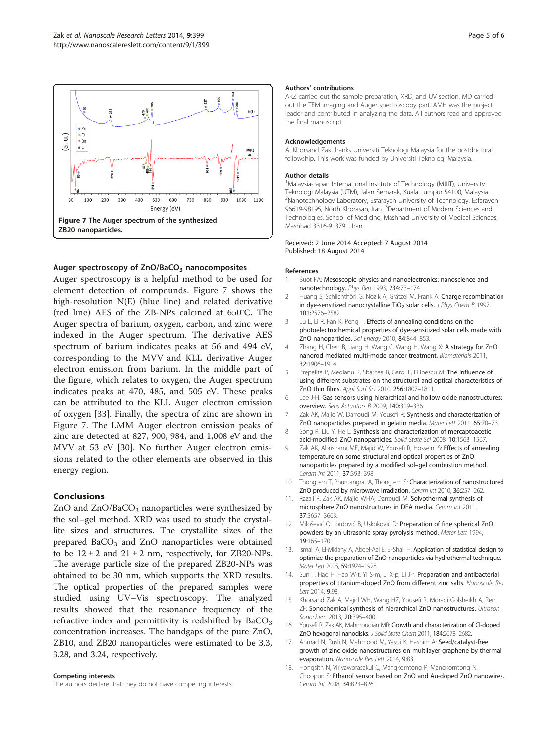<span id="page-4-0"></span>

## Auger spectroscopy of  $ZnO/BaCO<sub>3</sub>$  nanocomposites

Auger spectroscopy is a helpful method to be used for element detection of compounds. Figure 7 shows the high-resolution N(E) (blue line) and related derivative (red line) AES of the ZB-NPs calcined at 650°C. The Auger spectra of barium, oxygen, carbon, and zinc were indexed in the Auger spectrum. The derivative AES spectrum of barium indicates peaks at 56 and 494 eV, corresponding to the MVV and KLL derivative Auger electron emission from barium. In the middle part of the figure, which relates to oxygen, the Auger spectrum indicates peaks at 470, 485, and 505 eV. These peaks can be attributed to the KLL Auger electron emission of oxygen [[33\]](#page-5-0). Finally, the spectra of zinc are shown in Figure 7. The LMM Auger electron emission peaks of zinc are detected at 827, 900, 984, and 1,008 eV and the MVV at 53 eV [[30\]](#page-5-0). No further Auger electron emissions related to the other elements are observed in this energy region.

## Conclusions

ZnO and  $ZnO/BaCO<sub>3</sub>$  nanoparticles were synthesized by the sol–gel method. XRD was used to study the crystallite sizes and structures. The crystallite sizes of the prepared  $BaCO<sub>3</sub>$  and ZnO nanoparticles were obtained to be  $12 \pm 2$  and  $21 \pm 2$  nm, respectively, for ZB20-NPs. The average particle size of the prepared ZB20-NPs was obtained to be 30 nm, which supports the XRD results. The optical properties of the prepared samples were studied using UV–Vis spectroscopy. The analyzed results showed that the resonance frequency of the refractive index and permittivity is redshifted by  $BaCO<sub>3</sub>$ concentration increases. The bandgaps of the pure ZnO, ZB10, and ZB20 nanoparticles were estimated to be 3.3, 3.28, and 3.24, respectively.

#### Competing interests

The authors declare that they do not have competing interests.

#### Authors' contributions

AKZ carried out the sample preparation, XRD, and UV section. MD carried out the TEM imaging and Auger spectroscopy part. AMH was the project leader and contributed in analyzing the data. All authors read and approved the final manuscript.

### Acknowledgements

A. Khorsand Zak thanks Universiti Teknologi Malaysia for the postdoctoral fellowship. This work was funded by Universiti Teknologi Malaysia.

#### Author details

<sup>1</sup>Malaysia-Japan International Institute of Technology (MJIIT), University Teknologi Malaysia (UTM), Jalan Semarak, Kuala Lumpur 54100, Malaysia. <sup>2</sup>Nanotechnology Laboratory, Esfarayen University of Technology, Esfarayen 96619-98195, North Khorasan, Iran. <sup>3</sup>Department of Modern Sciences and Technologies, School of Medicine, Mashhad University of Medical Sciences, Mashhad 3316-913791, Iran.

#### Received: 2 June 2014 Accepted: 7 August 2014 Published: 18 August 2014

#### References

- 1. Buot FA: Mesoscopic physics and nanoelectronics: nanoscience and nanotechnology. Phys Rep 1993, 234:73–174.
- 2. Huang S, Schlichthörl G, Nozik A, Grätzel M, Frank A: Charge recombination in dye-sensitized nanocrystalline TiO<sub>2</sub> solar cells. J Phys Chem B 1997, 101:2576–2582.
- 3. Lu L, Li R, Fan K, Peng T: Effects of annealing conditions on the photoelectrochemical properties of dye-sensitized solar cells made with ZnO nanoparticles. Sol Energy 2010, 84:844-853.
- 4. Zhang H, Chen B, Jiang H, Wang C, Wang H, Wang X: A strategy for ZnO nanorod mediated multi-mode cancer treatment. Biomaterials 2011, 32:1906–1914.
- Prepelita P, Medianu R, Sbarcea B, Garoi F, Filipescu M: The influence of using different substrates on the structural and optical characteristics of ZnO thin films. Appl Surf Sci 2010, 256:1807–1811.
- 6. Lee J-H: Gas sensors using hierarchical and hollow oxide nanostructures: overview. Sens Actuators B 2009, 140:319–336.
- 7. Zak AK, Majid W, Darroudi M, Yousefi R: Synthesis and characterization of ZnO nanoparticles prepared in gelatin media. Mater Lett 2011, 65:70–73.
- 8. Song R, Liu Y, He L: Synthesis and characterization of mercaptoacetic acid-modified ZnO nanoparticles. Solid State Sci 2008, 10:1563–1567.
- 9. Zak AK, Abrishami ME, Majid W, Yousefi R, Hosseini S: Effects of annealing temperature on some structural and optical properties of ZnO nanoparticles prepared by a modified sol–gel combustion method. Ceram Int 2011, 37:393–398.
- 10. Thongtem T, Phuruangrat A, Thongtem S: Characterization of nanostructured ZnO produced by microwave irradiation. Ceram Int 2010, 36:257-262.
- 11. Razali R, Zak AK, Majid WHA, Darroudi M: Solvothermal synthesis of microsphere ZnO nanostructures in DEA media. Ceram Int 2011, 37:3657–3663.
- 12. Milošević O, Jordović B, Uskoković D: Preparation of fine spherical ZnO powders by an ultrasonic spray pyrolysis method. Mater Lett 1994, 19:165–170.
- 13. Ismail A, El-Midany A, Abdel-Aal E, El-Shall H: Application of statistical design to optimize the preparation of ZnO nanoparticles via hydrothermal technique. Mater Lett 2005, 59:1924–1928.
- 14. Sun T, Hao H, Hao W-t, Yi S-m, Li X-p, Li J-r: Preparation and antibacterial properties of titanium-doped ZnO from different zinc salts. Nanoscale Res Lett 2014, 9:98.
- 15. Khorsand Zak A, Majid WH, Wang HZ, Yousefi R, Moradi Golsheikh A, Ren ZF: Sonochemical synthesis of hierarchical ZnO nanostructures. Ultrason Sonochem 2013, 20:395-400.
- 16. Yousefi R, Zak AK, Mahmoudian MR: Growth and characterization of Cl-doped ZnO hexagonal nanodisks. J Solid State Chem 2011, 184:2678–2682.
- 17. Ahmad N, Rusli N, Mahmood M, Yasui K, Hashim A: Seed/catalyst-free growth of zinc oxide nanostructures on multilayer graphene by thermal evaporation. Nanoscale Res Lett 2014, 9:83.
- 18. Hongsith N, Viriyaworasakul C, Mangkorntong P, Mangkorntong N, Choopun S: Ethanol sensor based on ZnO and Au-doped ZnO nanowires. Ceram Int 2008, 34:823–826.